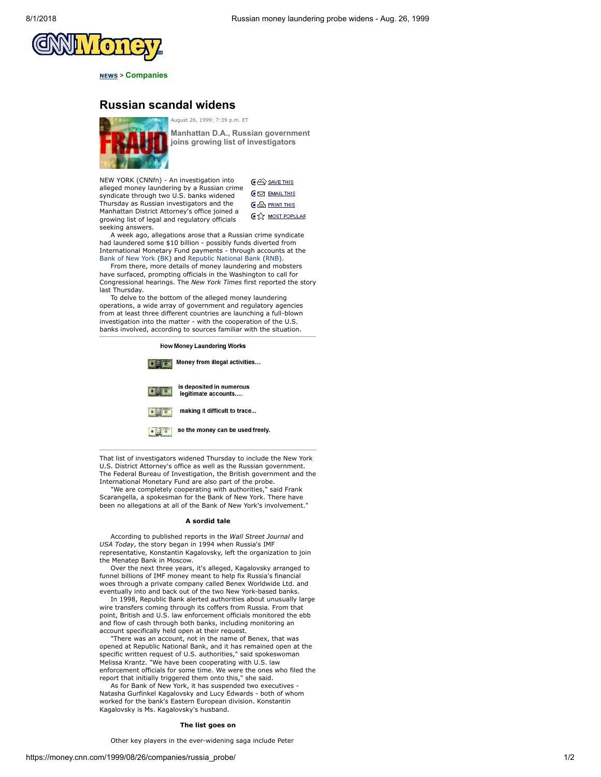

**[NEWS](https://money.cnn.com/news)** > **[Companies](https://money.cnn.com/news/companies)**

# **Russian scandal widens**



**Manhattan D.A., Russian government joins growing list of investigators** 

NEW YORK (CNNfn) - An investigation into alleged money laundering by a Russian crime syndicate through two U.S. banks widened Thursday as Russian investigators and the Manhattan District Attorney's office joined a growing list of legal and regulatory officials seeking answers.

 $\mathbf{G} \not\leftrightarrow$  SAVE THIS © ⊠ EMAIL THIS **C E** PRINT THIS EX MOST POPULAR

 A week ago, allegations arose that a Russian crime syndicate had laundered some \$10 billion - possibly funds diverted from International Monetary Fund payments - through accounts at the [Bank of New York](http://cgi.cnnfn.com/mgi/mgi_search?QUERY=BK&REPORT=STOCK) ([BK](https://money.cnn.com/quote/quote.html?symb=BK)) and [Republic National Bank](http://cgi.cnnfn.com/mgi/mgi_search?QUERY=RNB&REPORT=STOCK) [\(RNB](https://money.cnn.com/quote/quote.html?symb=RNB)).

 From there, more details of money laundering and mobsters have surfaced, prompting officials in the Washington to call for Congressional hearings. The *New York Times* first reported the story last Thursday.

 To delve to the bottom of the alleged money laundering operations, a wide array of government and regulatory agencies from at least three different countries are launching a full-blown investigation into the matter - with the cooperation of the U.S. banks involved, according to sources familiar with the situation.

| <b>How Money Laundering Works</b> |                                                 |
|-----------------------------------|-------------------------------------------------|
|                                   | Money from illegal activities                   |
|                                   | is deposited in numerous<br>legitimate accounts |
|                                   | making it difficult to trace                    |
|                                   | so the money can be used freely.                |

That list of investigators widened Thursday to include the New York U.S. District Attorney's office as well as the Russian government. The Federal Bureau of Investigation, the British government and the International Monetary Fund are also part of the probe.

 "We are completely cooperating with authorities," said Frank Scarangella, a spokesman for the Bank of New York. There have been no allegations at all of the Bank of New York's involvement."

### **A sordid tale**

 According to published reports in the *Wall Street Journal* and *USA Today*, the story began in 1994 when Russia's IMF representative, Konstantin Kagalovsky, left the organization to join the Menatep Bank in Moscow.

 Over the next three years, it's alleged, Kagalovsky arranged to funnel billions of IMF money meant to help fix Russia's financial woes through a private company called Benex Worldwide Ltd. and eventually into and back out of the two New York-based banks.

 In 1998, Republic Bank alerted authorities about unusually large wire transfers coming through its coffers from Russia. From that point, British and U.S. law enforcement officials monitored the ebb and flow of cash through both banks, including monitoring an account specifically held open at their request.

 "There was an account, not in the name of Benex, that was opened at Republic National Bank, and it has remained open at the specific written request of U.S. authorities," said spokeswoman Melissa Krantz. "We have been cooperating with U.S. law enforcement officials for some time. We were the ones who filed the report that initially triggered them onto this," she said.

 As for Bank of New York, it has suspended two executives - Natasha Gurfinkel Kagalovsky and Lucy Edwards - both of whom worked for the bank's Eastern European division. Konstantin Kagalovsky is Ms. Kagalovsky's husband.

## **The list goes on**

Other key players in the ever-widening saga include Peter